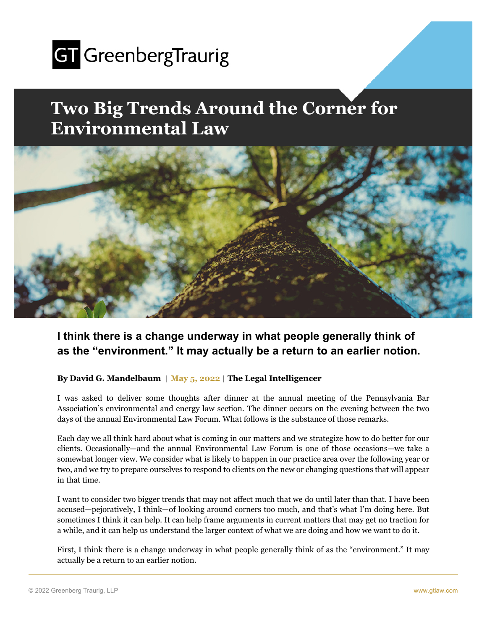

## **Two Big Trends Around the Corner for Environmental Law**



## **I think there is a change underway in what people generally think of as the "environment." It may actually be a return to an earlier notion.**

## **By David G. Mandelbaum** | **May 5, 2022** | **The Legal Intelligencer**

I was asked to deliver some thoughts after dinner at the annual meeting of the Pennsylvania Bar Association's environmental and energy law section. The dinner occurs on the evening between the two days of the annual Environmental Law Forum. What follows is the substance of those remarks.

Each day we all think hard about what is coming in our matters and we strategize how to do better for our clients. Occasionally—and the annual Environmental Law Forum is one of those occasions—we take a somewhat longer view. We consider what is likely to happen in our practice area over the following year or two, and we try to prepare ourselves to respond to clients on the new or changing questions that will appear in that time.

I want to consider two bigger trends that may not affect much that we do until later than that. I have been accused—pejoratively, I think—of looking around corners too much, and that's what I'm doing here. But sometimes I think it can help. It can help frame arguments in current matters that may get no traction for a while, and it can help us understand the larger context of what we are doing and how we want to do it.

First, I think there is a change underway in what people generally think of as the "environment." It may actually be a return to an earlier notion.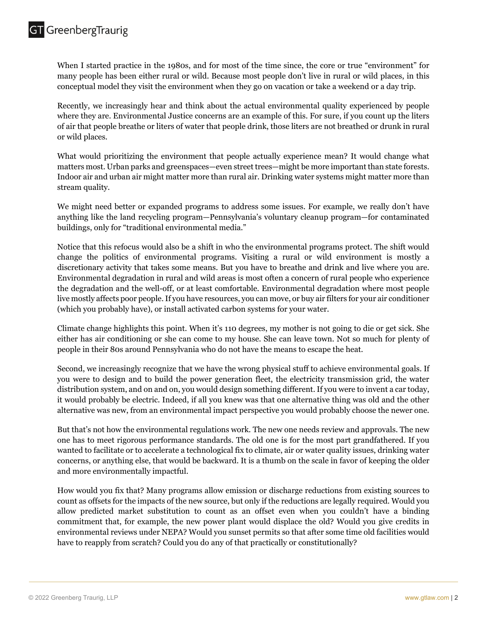When I started practice in the 1980s, and for most of the time since, the core or true "environment" for many people has been either rural or wild. Because most people don't live in rural or wild places, in this conceptual model they visit the environment when they go on vacation or take a weekend or a day trip.

Recently, we increasingly hear and think about the actual environmental quality experienced by people where they are. Environmental Justice concerns are an example of this. For sure, if you count up the liters of air that people breathe or liters of water that people drink, those liters are not breathed or drunk in rural or wild places.

What would prioritizing the environment that people actually experience mean? It would change what matters most. Urban parks and greenspaces—even street trees—might be more important than state forests. Indoor air and urban air might matter more than rural air. Drinking water systems might matter more than stream quality.

We might need better or expanded programs to address some issues. For example, we really don't have anything like the land recycling program—Pennsylvania's voluntary cleanup program—for contaminated buildings, only for "traditional environmental media."

Notice that this refocus would also be a shift in who the environmental programs protect. The shift would change the politics of environmental programs. Visiting a rural or wild environment is mostly a discretionary activity that takes some means. But you have to breathe and drink and live where you are. Environmental degradation in rural and wild areas is most often a concern of rural people who experience the degradation and the well-off, or at least comfortable. Environmental degradation where most people live mostly affects poor people. If you have resources, you can move, or buy air filters for your air conditioner (which you probably have), or install activated carbon systems for your water.

Climate change highlights this point. When it's 110 degrees, my mother is not going to die or get sick. She either has air conditioning or she can come to my house. She can leave town. Not so much for plenty of people in their 80s around Pennsylvania who do not have the means to escape the heat.

Second, we increasingly recognize that we have the wrong physical stuff to achieve environmental goals. If you were to design and to build the power generation fleet, the electricity transmission grid, the water distribution system, and on and on, you would design something different. If you were to invent a car today, it would probably be electric. Indeed, if all you knew was that one alternative thing was old and the other alternative was new, from an environmental impact perspective you would probably choose the newer one.

But that's not how the environmental regulations work. The new one needs review and approvals. The new one has to meet rigorous performance standards. The old one is for the most part grandfathered. If you wanted to facilitate or to accelerate a technological fix to climate, air or water quality issues, drinking water concerns, or anything else, that would be backward. It is a thumb on the scale in favor of keeping the older and more environmentally impactful.

How would you fix that? Many programs allow emission or discharge reductions from existing sources to count as offsets for the impacts of the new source, but only if the reductions are legally required. Would you allow predicted market substitution to count as an offset even when you couldn't have a binding commitment that, for example, the new power plant would displace the old? Would you give credits in environmental reviews under NEPA? Would you sunset permits so that after some time old facilities would have to reapply from scratch? Could you do any of that practically or constitutionally?